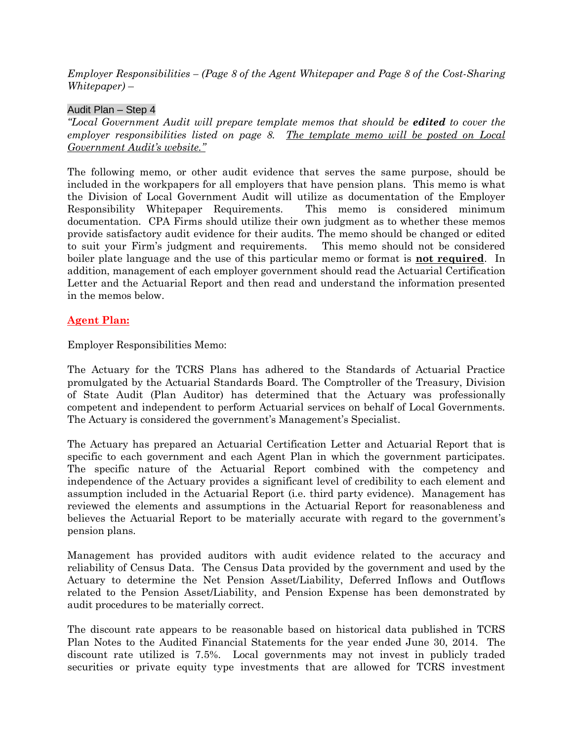*Employer Responsibilities – (Page 8 of the Agent Whitepaper and Page 8 of the Cost-Sharing Whitepaper)* –

## Audit Plan – Step 4

*"Local Government Audit will prepare template memos that should be edited to cover the employer responsibilities listed on page 8. The template memo will be posted on Local Government Audit's website."*

The following memo, or other audit evidence that serves the same purpose, should be included in the workpapers for all employers that have pension plans. This memo is what the Division of Local Government Audit will utilize as documentation of the Employer Responsibility Whitepaper Requirements. This memo is considered minimum documentation. CPA Firms should utilize their own judgment as to whether these memos provide satisfactory audit evidence for their audits. The memo should be changed or edited to suit your Firm's judgment and requirements. This memo should not be considered boiler plate language and the use of this particular memo or format is **not required**. In addition, management of each employer government should read the Actuarial Certification Letter and the Actuarial Report and then read and understand the information presented in the memos below.

## **Agent Plan:**

Employer Responsibilities Memo:

The Actuary for the TCRS Plans has adhered to the Standards of Actuarial Practice promulgated by the Actuarial Standards Board. The Comptroller of the Treasury, Division of State Audit (Plan Auditor) has determined that the Actuary was professionally competent and independent to perform Actuarial services on behalf of Local Governments. The Actuary is considered the government's Management's Specialist.

The Actuary has prepared an Actuarial Certification Letter and Actuarial Report that is specific to each government and each Agent Plan in which the government participates. The specific nature of the Actuarial Report combined with the competency and independence of the Actuary provides a significant level of credibility to each element and assumption included in the Actuarial Report (i.e. third party evidence). Management has reviewed the elements and assumptions in the Actuarial Report for reasonableness and believes the Actuarial Report to be materially accurate with regard to the government's pension plans.

Management has provided auditors with audit evidence related to the accuracy and reliability of Census Data. The Census Data provided by the government and used by the Actuary to determine the Net Pension Asset/Liability, Deferred Inflows and Outflows related to the Pension Asset/Liability, and Pension Expense has been demonstrated by audit procedures to be materially correct.

The discount rate appears to be reasonable based on historical data published in TCRS Plan Notes to the Audited Financial Statements for the year ended June 30, 2014. The discount rate utilized is 7.5%. Local governments may not invest in publicly traded securities or private equity type investments that are allowed for TCRS investment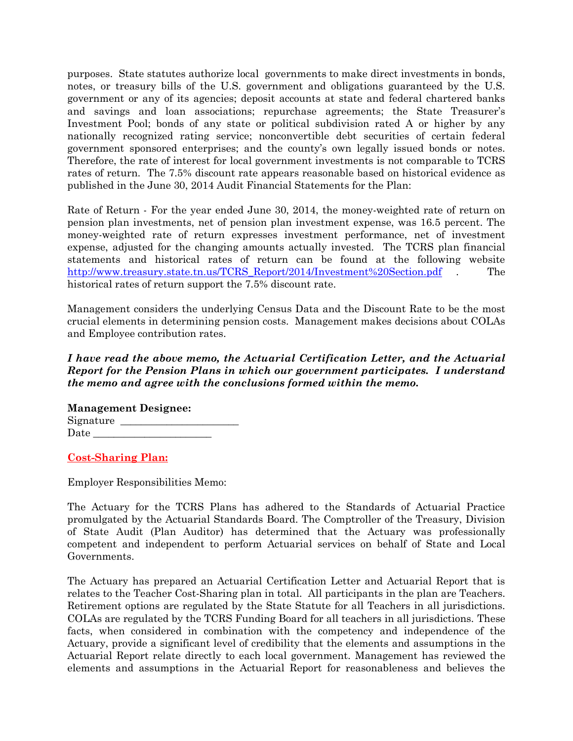purposes. State statutes authorize local governments to make direct investments in bonds, notes, or treasury bills of the U.S. government and obligations guaranteed by the U.S. government or any of its agencies; deposit accounts at state and federal chartered banks and savings and loan associations; repurchase agreements; the State Treasurer's Investment Pool; bonds of any state or political subdivision rated A or higher by any nationally recognized rating service; nonconvertible debt securities of certain federal government sponsored enterprises; and the county's own legally issued bonds or notes. Therefore, the rate of interest for local government investments is not comparable to TCRS rates of return. The 7.5% discount rate appears reasonable based on historical evidence as published in the June 30, 2014 Audit Financial Statements for the Plan:

Rate of Return - For the year ended June 30, 2014, the money-weighted rate of return on pension plan investments, net of pension plan investment expense, was 16.5 percent. The money-weighted rate of return expresses investment performance, net of investment expense, adjusted for the changing amounts actually invested. The TCRS plan financial statements and historical rates of return can be found at the following website [http://www.treasury.state.tn.us/TCRS\\_Report/2014/Investment%20Section.pdf](http://www.treasury.state.tn.us/TCRS_Report/2014/Investment%20Section.pdf) . The historical rates of return support the 7.5% discount rate.

Management considers the underlying Census Data and the Discount Rate to be the most crucial elements in determining pension costs. Management makes decisions about COLAs and Employee contribution rates.

## *I have read the above memo, the Actuarial Certification Letter, and the Actuarial Report for the Pension Plans in which our government participates. I understand the memo and agree with the conclusions formed within the memo.*

**Management Designee:** Signature \_\_\_\_\_\_\_\_\_\_\_\_\_\_\_\_\_\_\_\_\_\_\_ Date

## **Cost-Sharing Plan:**

Employer Responsibilities Memo:

The Actuary for the TCRS Plans has adhered to the Standards of Actuarial Practice promulgated by the Actuarial Standards Board. The Comptroller of the Treasury, Division of State Audit (Plan Auditor) has determined that the Actuary was professionally competent and independent to perform Actuarial services on behalf of State and Local Governments.

The Actuary has prepared an Actuarial Certification Letter and Actuarial Report that is relates to the Teacher Cost-Sharing plan in total. All participants in the plan are Teachers. Retirement options are regulated by the State Statute for all Teachers in all jurisdictions. COLAs are regulated by the TCRS Funding Board for all teachers in all jurisdictions. These facts, when considered in combination with the competency and independence of the Actuary, provide a significant level of credibility that the elements and assumptions in the Actuarial Report relate directly to each local government. Management has reviewed the elements and assumptions in the Actuarial Report for reasonableness and believes the